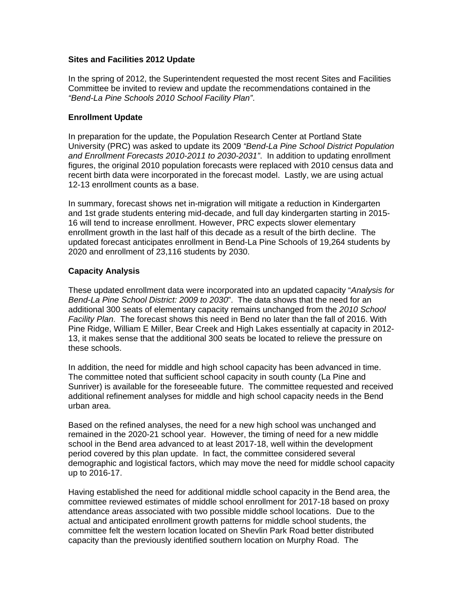### **Sites and Facilities 2012 Update**

In the spring of 2012, the Superintendent requested the most recent Sites and Facilities Committee be invited to review and update the recommendations contained in the *"Bend-La Pine Schools 2010 School Facility Plan"*.

### **Enrollment Update**

In preparation for the update, the Population Research Center at Portland State University (PRC) was asked to update its 2009 *"Bend-La Pine School District Population and Enrollment Forecasts 2010-2011 to 2030-2031"*. In addition to updating enrollment figures, the original 2010 population forecasts were replaced with 2010 census data and recent birth data were incorporated in the forecast model. Lastly, we are using actual 12-13 enrollment counts as a base.

In summary, forecast shows net in-migration will mitigate a reduction in Kindergarten and 1st grade students entering mid-decade, and full day kindergarten starting in 2015- 16 will tend to increase enrollment. However, PRC expects slower elementary enrollment growth in the last half of this decade as a result of the birth decline. The updated forecast anticipates enrollment in Bend-La Pine Schools of 19,264 students by 2020 and enrollment of 23,116 students by 2030.

#### **Capacity Analysis**

These updated enrollment data were incorporated into an updated capacity "*Analysis for Bend-La Pine School District: 2009 to 2030*". The data shows that the need for an additional 300 seats of elementary capacity remains unchanged from the *2010 School Facility Plan*. The forecast shows this need in Bend no later than the fall of 2016. With Pine Ridge, William E Miller, Bear Creek and High Lakes essentially at capacity in 2012- 13, it makes sense that the additional 300 seats be located to relieve the pressure on these schools.

In addition, the need for middle and high school capacity has been advanced in time. The committee noted that sufficient school capacity in south county (La Pine and Sunriver) is available for the foreseeable future. The committee requested and received additional refinement analyses for middle and high school capacity needs in the Bend urban area.

Based on the refined analyses, the need for a new high school was unchanged and remained in the 2020-21 school year. However, the timing of need for a new middle school in the Bend area advanced to at least 2017-18, well within the development period covered by this plan update. In fact, the committee considered several demographic and logistical factors, which may move the need for middle school capacity up to 2016-17.

Having established the need for additional middle school capacity in the Bend area, the committee reviewed estimates of middle school enrollment for 2017-18 based on proxy attendance areas associated with two possible middle school locations. Due to the actual and anticipated enrollment growth patterns for middle school students, the committee felt the western location located on Shevlin Park Road better distributed capacity than the previously identified southern location on Murphy Road. The